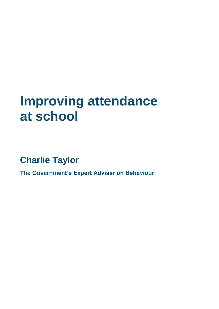# **Improving attendance at school**

**Charlie Taylor**

**The Government's Expert Adviser on Behaviour**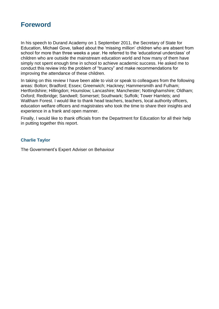#### **Foreword**

In his speech to Durand Academy on 1 September 2011, the Secretary of State for Education, Michael Gove, talked about the 'missing million' children who are absent from school for more than three weeks a year. He referred to the 'educational underclass' of children who are outside the mainstream education world and how many of them have simply not spent enough time in school to achieve academic success. He asked me to conduct this review into the problem of "truancy" and make recommendations for improving the attendance of these children.

In taking on this review I have been able to visit or speak to colleagues from the following areas: Bolton; Bradford; Essex; Greenwich; Hackney; Hammersmith and Fulham; Hertfordshire; Hillingdon; Hounslow; Lancashire; Manchester; Nottinghamshire; Oldham; Oxford; Redbridge; Sandwell; Somerset; Southwark; Suffolk; Tower Hamlets; and Waltham Forest. I would like to thank head teachers, teachers, local authority officers, education welfare officers and magistrates who took the time to share their insights and experience in a frank and open manner.

Finally, I would like to thank officials from the Department for Education for all their help in putting together this report.

#### **Charlie Taylor**

The Government's Expert Adviser on Behaviour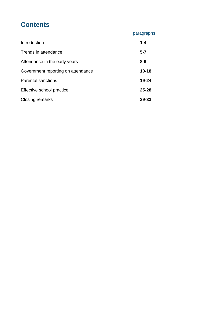## **Contents**

| paragraphs |  |  |  |
|------------|--|--|--|
|            |  |  |  |

| Introduction                       | $1 - 4$   |  |
|------------------------------------|-----------|--|
| Trends in attendance               | $5 - 7$   |  |
| Attendance in the early years      | $8 - 9$   |  |
| Government reporting on attendance |           |  |
| <b>Parental sanctions</b>          | 19-24     |  |
| Effective school practice          | $25 - 28$ |  |
| Closing remarks                    |           |  |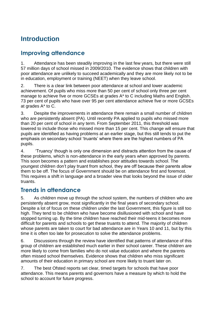## **Introduction**

### **Improving attendance**

1. Attendance has been steadily improving in the last few years, but there were still 57 million days of school missed in 2009/2010. The evidence shows that children with poor attendance are unlikely to succeed academically and they are more likely not to be in education, employment or training (NEET) when they leave school.

2. There is a clear link between poor attendance at school and lower academic achievement. Of pupils who miss more than 50 per cent of school only three per cent manage to achieve five or more GCSEs at grades A\* to C including Maths and English. 73 per cent of pupils who have over 95 per cent attendance achieve five or more GCSEs at grades A\* to C.

3. Despite the improvements in attendance there remain a small number of children who are persistently absent (PA). Until recently PA applied to pupils who missed more than 20 per cent of school in any term. From September 2011, this threshold was lowered to include those who missed more than 15 per cent. This change will ensure that pupils are identified as having problems at an earlier stage, but this still tends to put the emphasis on secondary school 'truants' where there are the highest numbers of PA pupils.

4. 'Truancy' though is only one dimension and distracts attention from the cause of these problems, which is non-attendance in the early years when approved by parents. This soon becomes a pattern and establishes poor attitudes towards school. The youngest children don't play truant from school, they are off because their parents allow them to be off. The focus of Government should be on attendance first and foremost. This requires a shift in language and a broader view that looks beyond the issue of older truants.

#### **Trends in attendance**

5. As children move up through the school system, the numbers of children who are persistently absent grow, most significantly in the final years of secondary school. Despite a lot of focus on these children under the last Government, this figure is still too high. They tend to be children who have become disillusioned with school and have stopped turning up. By the time children have reached their mid-teens it becomes more difficult for parents and schools to get these truants to attend. The majority of children whose parents are taken to court for bad attendance are in Years 10 and 11, but by this time it is often too late for prosecution to solve the attendance problems.

6. Discussions through the review have identified that patterns of attendance of this group of children are established much earlier in their school career. These children are more likely to come from families who do not value education and where the parents often missed school themselves. Evidence shows that children who miss significant amounts of their education in primary school are more likely to truant later on.

7. The best Ofsted reports set clear, timed targets for schools that have poor attendance. This means parents and governors have a measure by which to hold the school to account for future progress.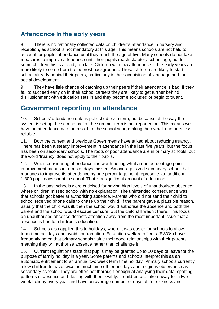#### **Attendance in the early years**

8. There is no nationally collected data on children's attendance in nursery and reception, as school is not mandatory at this age. This means schools are not held to account for pupils' attendance until they reach the age of five. Many schools do not take measures to improve attendance until their pupils reach statutory school age, but for some children this is already too late. Children with low attendance in the early years are more likely to come from the poorest backgrounds. These children are likely to start school already behind their peers, particularly in their acquisition of language and their social development.

9. They have little chance of catching up their peers if their attendance is bad. If they fail to succeed early on in their school careers they are likely to get further behind; disillusionment with education sets in and they become excluded or begin to truant.

#### **Government reporting on attendance**

10. Schools' attendance data is published each term, but because of the way the system is set up the second half of the summer term is not reported on. This means we have no attendance data on a sixth of the school year, making the overall numbers less reliable.

11. Both the current and previous Governments have talked about reducing truancy. There has been a steady improvement in attendance in the last five years, but the focus has been on secondary schools. The roots of poor attendance are in primary schools, but the word 'truancy' does not apply to their pupils.

12. When considering attendance it is worth noting what a one percentage point improvement means in terms of days missed. An average sized secondary school that manages to improve its attendance by one percentage point represents an additional 1,300 pupil-days spent in school. That is a significant amount of education.

13. In the past schools were criticised for having high levels of unauthorised absence where children missed school with no explanation. The unintended consequence was that schools got better at authorising absence. Parents who did not send their child to school received phone calls to chase up their child. If the parent gave a plausible reason, usually that the child was ill, then the school would authorise the absence and both the parent and the school would escape censure, but the child still wasn't there. This focus on unauthorised absence deflects attention away from the most important issue-that all absence is bad for children's education.

14. Schools also applied this to holidays, where it was easier for schools to allow term-time holidays and avoid confrontation. Education welfare officers (EWOs) have frequently noted that primary schools value their good relationships with their parents, meaning they will authorise absence rather than challenge it.

15. Current regulations state that pupils may be granted up to 10 days of leave for the purpose of family holiday in a year. Some parents and schools interpret this as an automatic entitlement to an annual two week term time holiday. Primary schools currently allow children to have twice as much time off for holidays and religious observance as secondary schools. They are often not thorough enough at analysing their data, spotting patterns of absence and dealing with them swiftly. If children are taken away for a two week holiday every year and have an average number of days off for sickness and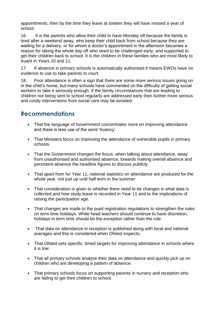appointments, then by the time they leave at sixteen they will have missed a year of school.

16. It is the parents who allow their child to have Monday off because the family is tired after a weekend away, who keep their child back from school because they are waiting for a delivery, or for whom a doctor's appointment in the afternoon becomes a reason for taking the whole day off who need to be challenged early, and supported to get their children back to school. It is the children in these families who are most likely to truant in Years 10 and 11.

17. If absence in primary schools is automatically authorised it means EWOs have no evidence to use to take parents to court.

18. Poor attendance is often a sign that there are some more serious issues going on in the child's home, but many schools have commented on the difficulty of getting social workers to take it seriously enough. If the family circumstances that are leading to children not being sent to school regularly are addressed early then further more serious and costly interventions from social care may be avoided.

#### **Recommendations**

- That the language of Government concentrates more on improving attendance and there is less use of the word 'truancy'.
- That Ministers focus on improving the attendance of vulnerable pupils in primary schools.
- That the Government changes the focus, when talking about attendance, away from unauthorised and authorised absence, towards making overall absence and persistent absence the headline figures to discuss publicly.
- That apart from for Year 11, national statistics on attendance are produced for the whole year, not just up until half term in the summer.
- That consideration is given to whether there need to be changes in what data is collected and how study leave is recorded in Year 11 and to the implications of raising the participation age.
- That changes are made to the pupil registration regulations to strengthen the rules on term time holidays. While head teachers should continue to have discretion, holidays in term time should be the exception rather than the rule.
- That data on attendance in reception is published along with local and national averages and this is considered when Ofsted inspects.
- That Ofsted sets specific, timed targets for improving attendance in schools where it is low.
- That all primary schools analyse their data on attendance and quickly pick up on children who are developing a pattern of absence.
- That primary schools focus on supporting parents in nursery and reception who are failing to get their children to school.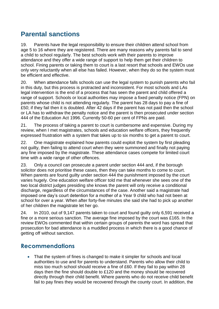## **Parental sanctions**

19. Parents have the legal responsibility to ensure their children attend school from age 5 to 16 where they are registered. There are many reasons why parents fail to send a child to school regularly. The best schools work with their parents to improve attendance and they offer a wide range of support to help them get their children to school. Fining parents or taking them to court is a last resort that schools and EWOs use only very reluctantly when all else has failed. However, when they do so the system must be efficient and effective.

20. When attendance falls schools can use the legal system to punish parents who fail in this duty, but this process is protracted and inconsistent. For most schools and LAs legal intervention is the end of a process that has seen the parent and child offered a range of support. Schools or local authorities may impose a fixed penalty notice (FPN) on parents whose child is not attending regularly. The parent has 28 days to pay a fine of £50; if they fail then it is doubled. After 42 days if the parent has not paid then the school or LA has to withdraw the penalty notice and the parent is then prosecuted under section 444 of the Education Act 1996. Currently 50-60 per cent of FPNs are paid.

21. The process of taking a parent to court is cumbersome and expensive. During my review, when I met magistrates, schools and education welfare officers, they frequently expressed frustration with a system that takes up to six months to get a parent to court.

22. One magistrate explained how parents could exploit the system by first pleading not guilty, then failing to attend court when they were summoned and finally not paying any fine imposed by the magistrate. These attendance cases compete for limited court time with a wide range of other offences.

23. Only a council can prosecute a parent under section 444 and, if the borough solicitor does not prioritise these cases, then they can take months to come to court. When parents are found guilty under section 444 the punishment imposed by the court varies hugely. One education welfare officer told me that whenever she sees one of the two local district judges presiding she knows the parent will only receive a conditional discharge, regardless of the circumstances of the case. Another said a magistrate had imposed one day's court detention for a mother of a Year 9 child who had not been at school for over a year. When after forty-five minutes she said she had to pick up another of her children the magistrate let her go.

24. In 2010, out of 9,147 parents taken to court and found guilty only 6,591 received a fine or a more serious sanction. The average fine imposed by the court was £165. In the review EWOs commented that within certain groups of parents the word has spread that prosecution for bad attendance is a muddled process in which there is a good chance of getting off without sanction.

#### **Recommendations**

• That the system of fines is changed to make it simpler for schools and local authorities to use and for parents to understand. Parents who allow their child to miss too much school should receive a fine of £60. If they fail to pay within 28 days then the fine should double to £120 and the money should be recovered directly through their child benefit. Where parents who do not receive child benefit fail to pay fines they would be recovered through the county court. In addition, the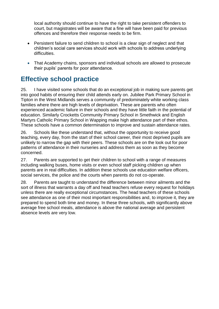local authority should continue to have the right to take persistent offenders to court, but magistrates will be aware that a fine will have been paid for previous offences and therefore their response needs to be firm.

- Persistent failure to send children to school is a clear sign of neglect and that children's social care services should work with schools to address underlying difficulties.
- That Academy chains, sponsors and individual schools are allowed to prosecute their pupils' parents for poor attendance.

## **Effective school practice**

25. I have visited some schools that do an exceptional job in making sure parents get into good habits of ensuring their child attends early on. Jubilee Park Primary School in Tipton in the West Midlands serves a community of predominately white working class families where there are high levels of deprivation. These are parents who often experienced academic failure in their schools and they have little faith in the potential of education. Similarly Crocketts Community Primary School in Smethwick and English Martyrs Catholic Primary School in Wapping make high attendance part of their ethos. These schools have a common determination to improve and sustain attendance rates.

26. Schools like these understand that, without the opportunity to receive good teaching, every day, from the start of their school career, their most deprived pupils are unlikely to narrow the gap with their peers. These schools are on the look out for poor patterns of attendance in their nurseries and address them as soon as they become concerned.

27. Parents are supported to get their children to school with a range of measures including walking buses, home visits or even school staff picking children up when parents are in real difficulties. In addition these schools use education welfare officers, social services, the police and the courts when parents do not co-operate.

28. Parents are taught to understand the difference between minor ailments and the sort of illness that warrants a day off and head teachers refuse every request for holidays unless there are really exceptional circumstances. The head teachers of these schools see attendance as one of their most important responsibilities and, to improve it, they are prepared to spend both time and money. In these three schools, with significantly above average free school meals, attendance is above the national average and persistent absence levels are very low.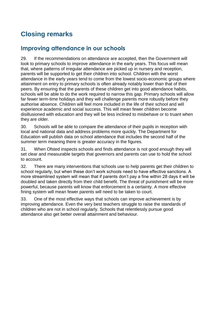## **Closing remarks**

#### **Improving attendance in our schools**

29. If the recommendations on attendance are accepted, then the Government will look to primary schools to improve attendance in the early years. This focus will mean that, where patterns of irregular attendance are picked up in nursery and reception, parents will be supported to get their children into school. Children with the worst attendance in the early years tend to come from the lowest socio-economic groups where attainment on entry to primary schools is often already notably lower than that of their peers. By ensuring that the parents of these children get into good attendance habits, schools will be able to do the work required to narrow this gap. Primary schools will allow far fewer term-time holidays and they will challenge parents more robustly before they authorise absence. Children will feel more included in the life of their school and will experience academic and social success. This will mean fewer children become disillusioned with education and they will be less inclined to misbehave or to truant when they are older.

30. Schools will be able to compare the attendance of their pupils in reception with local and national data and address problems more quickly. The Department for Education will publish data on school attendance that includes the second half of the summer term meaning there is greater accuracy in the figures.

31. When Ofsted inspects schools and finds attendance is not good enough they will set clear and measurable targets that governors and parents can use to hold the school to account.

32. There are many interventions that schools use to help parents get their children to school regularly, but when these don't work schools need to have effective sanctions. A more streamlined system will mean that if parents don't pay a fine within 28 days it will be doubled and taken directly from their child benefit. The threat of punishment will be more powerful, because parents will know that enforcement is a certainty. A more effective fining system will mean fewer parents will need to be taken to court.

33. One of the most effective ways that schools can improve achievement is by improving attendance. Even the very best teachers struggle to raise the standards of children who are not in school regularly. Schools that relentlessly pursue good attendance also get better overall attainment and behaviour.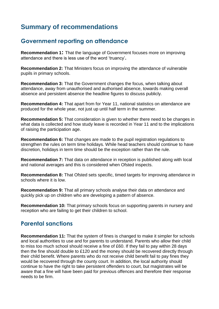## **Summary of recommendations**

#### **Government reporting on attendance**

**Recommendation 1:** That the language of Government focuses more on improving attendance and there is less use of the word 'truancy'**.** 

**Recommendation 2:** That Ministers focus on improving the attendance of vulnerable pupils in primary schools.

**Recommendation 3:** That the Government changes the focus, when talking about attendance, away from unauthorised and authorised absence, towards making overall absence and persistent absence the headline figures to discuss publicly.

**Recommendation 4:** That apart from for Year 11, national statistics on attendance are produced for the whole year, not just up until half term in the summer.

**Recommendation 5:** That consideration is given to whether there need to be changes in what data is collected and how study leave is recorded in Year 11 and to the implications of raising the participation age.

**Recommendation 6:** That changes are made to the pupil registration regulations to strengthen the rules on term time holidays. While head teachers should continue to have discretion, holidays in term time should be the exception rather than the rule.

**Recommendation 7:** That data on attendance in reception is published along with local and national averages and this is considered when Ofsted inspects.

**Recommendation 8:** That Ofsted sets specific, timed targets for improving attendance in schools where it is low.

**Recommendation 9:** That all primary schools analyse their data on attendance and quickly pick up on children who are developing a pattern of absence.

**Recommendation 10:** That primary schools focus on supporting parents in nursery and reception who are failing to get their children to school.

#### **Parental sanctions**

**Recommendation 11:** That the system of fines is changed to make it simpler for schools and local authorities to use and for parents to understand. Parents who allow their child to miss too much school should receive a fine of £60. If they fail to pay within 28 days then the fine should double to £120 and the money should be recovered directly through their child benefit. Where parents who do not receive child benefit fail to pay fines they would be recovered through the county court. In addition, the local authority should continue to have the right to take persistent offenders to court, but magistrates will be aware that a fine will have been paid for previous offences and therefore their response needs to be firm.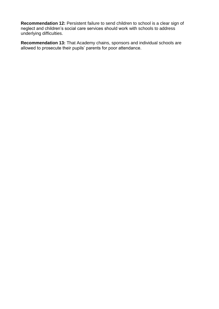**Recommendation 12:** Persistent failure to send children to school is a clear sign of neglect and children's social care services should work with schools to address underlying difficulties.

**Recommendation 13:** That Academy chains, sponsors and individual schools are allowed to prosecute their pupils' parents for poor attendance.